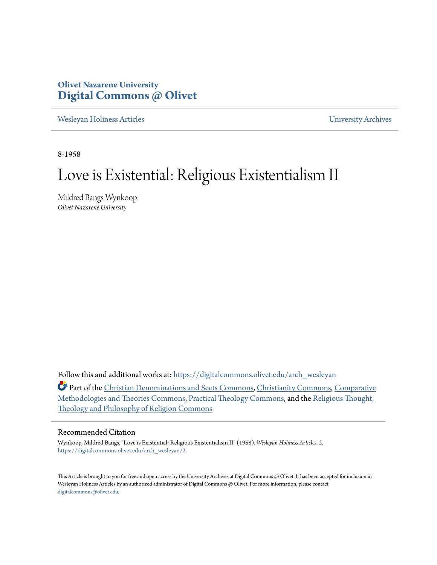## **Olivet Nazarene University [Digital Commons @ Olivet](https://digitalcommons.olivet.edu?utm_source=digitalcommons.olivet.edu%2Farch_wesleyan%2F2&utm_medium=PDF&utm_campaign=PDFCoverPages)**

[Wesleyan Holiness Articles](https://digitalcommons.olivet.edu/arch_wesleyan?utm_source=digitalcommons.olivet.edu%2Farch_wesleyan%2F2&utm_medium=PDF&utm_campaign=PDFCoverPages) [University Archives](https://digitalcommons.olivet.edu/arch?utm_source=digitalcommons.olivet.edu%2Farch_wesleyan%2F2&utm_medium=PDF&utm_campaign=PDFCoverPages)

8-1958

# Love is Existential: Religious Existentialism II

Mildred Bangs Wynkoop *Olivet Nazarene University*

Follow this and additional works at: [https://digitalcommons.olivet.edu/arch\\_wesleyan](https://digitalcommons.olivet.edu/arch_wesleyan?utm_source=digitalcommons.olivet.edu%2Farch_wesleyan%2F2&utm_medium=PDF&utm_campaign=PDFCoverPages)

Part of the [Christian Denominations and Sects Commons](http://network.bepress.com/hgg/discipline/1184?utm_source=digitalcommons.olivet.edu%2Farch_wesleyan%2F2&utm_medium=PDF&utm_campaign=PDFCoverPages), [Christianity Commons,](http://network.bepress.com/hgg/discipline/1181?utm_source=digitalcommons.olivet.edu%2Farch_wesleyan%2F2&utm_medium=PDF&utm_campaign=PDFCoverPages) [Comparative](http://network.bepress.com/hgg/discipline/540?utm_source=digitalcommons.olivet.edu%2Farch_wesleyan%2F2&utm_medium=PDF&utm_campaign=PDFCoverPages) [Methodologies and Theories Commons,](http://network.bepress.com/hgg/discipline/540?utm_source=digitalcommons.olivet.edu%2Farch_wesleyan%2F2&utm_medium=PDF&utm_campaign=PDFCoverPages) [Practical Theology Commons,](http://network.bepress.com/hgg/discipline/1186?utm_source=digitalcommons.olivet.edu%2Farch_wesleyan%2F2&utm_medium=PDF&utm_campaign=PDFCoverPages) and the [Religious Thought,](http://network.bepress.com/hgg/discipline/544?utm_source=digitalcommons.olivet.edu%2Farch_wesleyan%2F2&utm_medium=PDF&utm_campaign=PDFCoverPages) [Theology and Philosophy of Religion Commons](http://network.bepress.com/hgg/discipline/544?utm_source=digitalcommons.olivet.edu%2Farch_wesleyan%2F2&utm_medium=PDF&utm_campaign=PDFCoverPages)

#### Recommended Citation

Wynkoop, Mildred Bangs, "Love is Existential: Religious Existentialism II" (1958). *Wesleyan Holiness Articles*. 2. [https://digitalcommons.olivet.edu/arch\\_wesleyan/2](https://digitalcommons.olivet.edu/arch_wesleyan/2?utm_source=digitalcommons.olivet.edu%2Farch_wesleyan%2F2&utm_medium=PDF&utm_campaign=PDFCoverPages)

This Article is brought to you for free and open access by the University Archives at Digital Commons @ Olivet. It has been accepted for inclusion in Wesleyan Holiness Articles by an authorized administrator of Digital Commons @ Olivet. For more information, please contact [digitalcommons@olivet.edu.](mailto:digitalcommons@olivet.edu)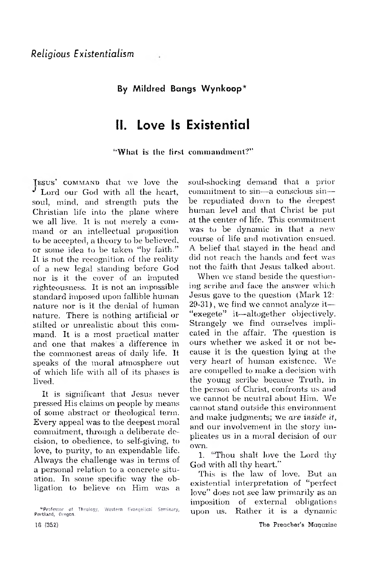### **By Mildred Bangs Wynkoop\***

## **II. Love Is Existential**

"What is the first commandment?"

IESUS' COMMAND that we love the Lord our God with all the heart, soul, mind, and strength puts the Christian life into the plane where we all live. It is not merely a command or an intellectual proposition to be accepted, a theory to be believed, or some idea to be taken "by faith." It is not the recognition of the reality of a new legal standing before God nor Is it the cover of an imputed righteousness. It is not an impossible standard imposed upon fallible human nature nor is it the denial of human nature. There is nothing artificial or stilted or unrealistic about this command. It is a most practical matter and one that makes a difference in the commonest areas of daily life. It speaks of the moral atmosphere out of which life with all of its phases is lived.

It is significant that Jesus never pressed His claims on people by means of some abstract or theological term. Every appeal was to the deepest moral commitment, through a deliberate decision, to obedience, to self-giving, to love, to purity, to an expendable life. Alw ays the challenge was in terms of a personal relation to a concrete situation. In some specific way the obligation to believe on Him was a soul-shocking demand that a prior commitment to sin— a conscious sin be repudiated down to the deepest human level and that Christ be put at the center of life. This commitment was to be dynamic in that a new course of life and motivation ensued. A belief that stayed in the head and did not reach the hands and feet was not the faith that Jesus talked about.

When we stand beside the questioning scribe and face the answer which Jesus gave to the question (Mark  $12$ :  $29-31$ ), we find we cannot analyze it— " exegete" it—altogether objectively. Strangely we find ourselves implicated in the affair. The question is ours whether we asked it or not because it is the question lying at the very heart of human existence. We are compelled to make a decision with the young scribe because Truth, in the person of Christ, confronts us and we cannot be neutral about Him. We cannot stand outside this environment and make judgments; we are inside it, and our involvement in the story implicates us in a moral decision of our own.

1. "Thou shalt love the Lord thy God with all thy heart."

This is the law of love. But an existential interpretation of "perfect love" does not see law primarily as an imposition of external obligations upon us. Rather it is a dynamic

<sup>^</sup>Professor of Theology, Western £va«g»!!c»{ Seminary, Portland, Dregon.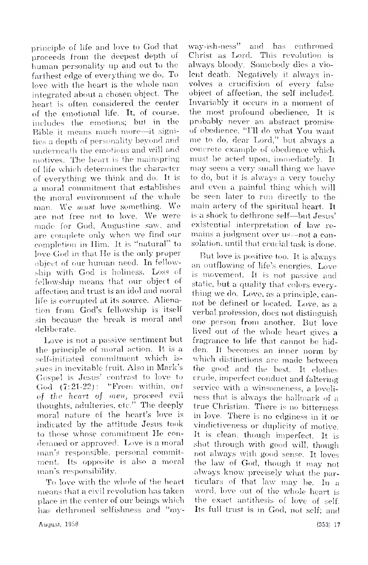principle of life and love to God that proceeds from the deepest depth of human personality up and out to the farthest edge of everything we do. To love with the heart is the whole man integrated about a chosen object. The heart is often considered the center of the emotional life. It, of course, includes the em otions; bul in the Bible it means much more-it signifies a depth of personality beyond and underneath the emotions and will and motives. The heart is the mainspring of life which determines the character of everything we think and do. It is a moral commitment that establishes the moral environment of the whole man. We *must* love something. We are not free not to love. We were made for God, Augustine saw, and are complete only when we find our completion in Him. It is "natural" to love God in that He is the only proper object of our human need. In fellowship with God is holiness. Loss of fellowship means that our object of affection and trust is an idol and moral life is corrupted at its source. Alienation from God's fellowship is itself sin because the break is m oral and deliberate.

Love is not a passive sentiment but the principle of moral action. It is a self-initiated commitment which issues in inevitable fruit. Also in Mark's Gospel is Jesus' contrast to love to God (7:21-22): "From within, *out of the heart, of men,* proceed, evil thoughts, adulteries, etc." The deeply moral nature of the heart's love is indicated by the attitude Jesus took to those whose commitment He condemned or approved. Love is a moral man's responsible, personal commitment. Its opposite is also a moral man's responsibility.

To love with the whole of the heart means that a civil revolution has taken place in the center of our beings which has dethroned selfishness and "my-

way-ish-ness" and has enthroned Christ as Lord. This revolution is always bloody. Somebody dies a violent death. Negatively it always involves a crucifixion of every false object, of affection, the self included. Invariably it occurs in a moment of the most profound obedience. It is probably never an abstract promise of obedience, "I'll do what You want me to do, dear Lord," but always a concrete example of obedience which must he acted upon, immediately. It may seem a very small thing we have to do, but it is always a very touchy and even a painful thing which will be seen later to run directly to the main artery of the spiritual heart. It is a shock to dethrone self—but,Jesus' existential interpretation of law remains a judgment over us—not a consolation, until that crucial task is done.

But love is positive too. It is always an outflowing of life's energies. Love is movement. It is not passive and static, but a quality that colors every thing we do. Love, as a principle, cannot be defined or located. Love, as a verbal profession, docs not distinguish one person from another. But love lived out of the whole heart gives a fragrance to life that cannot be hidden. It becomes an inner norm by which distinctions are made between the good and the best. It clothes crude, im perfect conduct and faltering service with a winsomeness, a loveliness that is always the hallmark of a true Christian. There is no bitterness in love. There is no edginess in it or vindictiveness or duplicity of motive. It is clean, though imperfect. It is shot through with good will, though not alw ays with good sense. It loves the law of God, though it may not always know precisely what the particulars of that law may be. In a word, love out of the whole heart is the exact antithesis of love of self. Its full trust is in God, not self; and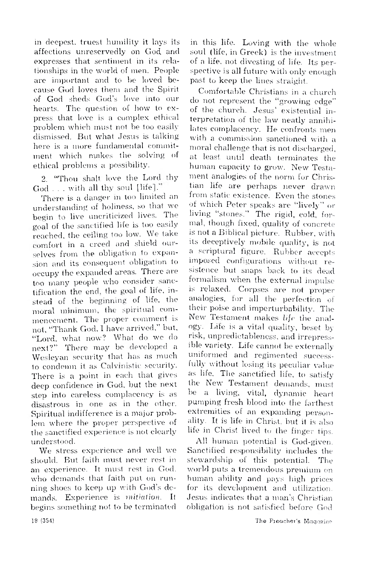in deepest, truest humility it lays its affections unreservedly on God and expresses that sentiment in its relationships in the world of men. People are im portant and to be loved because God loves them and the Spirit of God sheds God's love into our hearts. The question of how to express that love is a complex ethical problem which must not be too easily dismissed. But what Jesus is talking here is a more fundamental commitment which makes the solving of ethical problems a possibility.

2. "Thou shalt love the Lord thy  $God \dots$  with all thy soul [life]."

There is a danger in too limited an understanding of holiness, so that we begin to live uncriticized lives. The goal of the sanctified life is too easily reached, the ceiling too low. We take comfort in a creed and shield ourselves from the obligation to expansion and its consequent obligation to occupy the expanded areas. There are too many people who consider sanctification the end, the goal of life, instead of the beginning of life, the moral minimum, the spiritual commencement. The proper comment is not, "Thank God, I have arrived," but, "Lord, what now? What do we do next?" There may be developed a Wesleyan security that has as much to condemn it as Calvinistic security. There is a point in each that gives deep confidence in God, but the next step into careless complacency is as disastrous in one as in the other. Spiritual indifference is a major problem where the proper perspective of the sanctified experience is not clearly understood.

We stress experience and well we should. But faith must never rest in an experience. It must rest in God, who demands that faith put on running shoes to keep up with God's demands. Experience is *mitiation*. It begins something not to be terminated in this life. Loving with the whole soul (life, in Greek) is the investment of a life, not divesting of life. Its perspective is all future with only enough past to keep the lines straight.

Comfortable Christians in a church do not represent the "growing edge" of the church. Jesus' existential interpretation of the law neatly annihilates complacency. He confronts men with a commission sanctioned with a moral challenge that is not discharged. at least until death terminates the human capacity to grow. New Testament analogies of the norm for Christian life are perhaps never drawn from static existence. Even the stones of which Peter speaks are "lively" or living "stones." The rigid, cold, formal, though fixed, quality of concrete is not a Biblical picture. Rubber, with its deceptively mobile quality, is not a scriptural figure. Rubber accepts im posed configurations w ithout resistence but snaps back to its dead formalism when the external impulse is relaxed. Corpses are not proper analogies, for all the perfection of their poise and imperturbability. The New Testament makes *life* the analogy- Lite is a vital quality, beset by risk, unpredictableness, and irrepressible variety. Life cannot be externally uniformed and regimented successfully without losing its peculiar value as life. The sanctified life, to satisfy the New Testament demands, must be a living, vital, dynamic heart pumping fresh blood into the farthest extremities of an expanding personality. It is life in Christ, but it is also life in Christ lived to the finger tips.

All human potential is God-given. Sanctified responsibility includes the stewardship of this potential. The world puts a tremendous premium on human ability and pays high prices for its development and utilization. Jesus indicates that a man's Christian obligation is not satisfied before God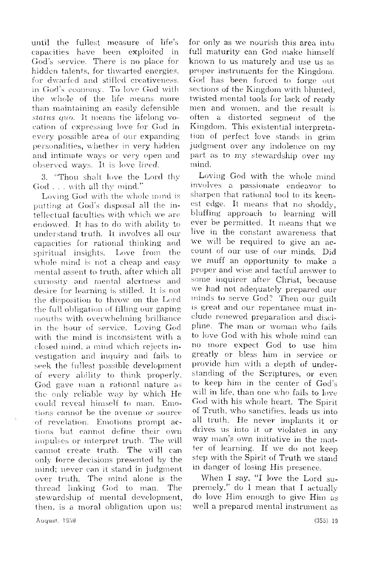until the fullest measure of life's capacities have been exploited in God's service. There is no place for hidden talents, for thwarted energies, for dwarfed and stifled creativeness. in God's economy. To love God with the whole of the life means more than maintaining an easily defensible status quo. It means the lifelong vocation of expressing love for God in every possible area of our expanding personalities, whether in very hidden and intimate ways or very open and observed ways. It is love *lived*.

3. "Thou shalt love the Lord thy God . . . with all thy mind."

Loving God with the whole mind is putting at God's disposal all the intellectual faculties with which we are en dow ed. It has to do with ability to understand truth. It in volves all our capacities for rational thinking and spiritual insights. Love from the whole mind is not a cheap and easy mental assent to truth, after which all cu riosity and m ental alertness and desire for learning is stilled. It is not the disposition to throw on the Lord the full obligation of filling our gaping mouths with overwhelming brilliance in the hour of service. Loving God with the mind is inconsistent with a closed mind, a mind which rejects investigation and inquiry and fails to seek the fullest possible development of every ability to think properly. God gave man a rational nature as the only reliable way by which He could reveal himself to man. Emotions cannot be the avenue or source of revelation. Emotions prompt actions but cannot define their own impulses or interpret truth. The will cannot create truth. The will can only force decisions presented by the mind; never can it stand in judgment over truth. The mind alone is the thread linking God to man. The stewardship of mental development, then, is a moral obligation upon us;

for only as we nourish this area into full maturity can God make himself known to us maturely and use us as proper instruments for the Kingdom. God has been forced to forge out sections of the Kingdom with blunted, twisted mental tools for lack of ready men and women, and the result is often a distorted segment of the Kingdom. This existential interpretation of perfect love stands in grim judgment over any indolence on my part as to my stewardship over my mind.

Loving God with the whole mind in volves a passionate endeavor to sharpen that rational tool to its keenest edge. It means that no shoddy, bluffing approach to learning will ever be permitted. It means that we live in the constant awareness that we will be required to give an account of our use of our minds. Did we muff an opportunity to make a proper and wise and tactful answer to some inquirer after Christ, because we had not adequately prepared our minds to serve God? Then our guilt is great and our repentance must include renew ed preparation and discipline. The man or woman who fails to love God with his whole mind can no more expect God to use him greatly or bless him in service or provide him with a depth of understanding of the Scriptures, or even to keep him in the center of God's will in life, than one who fails to love God with his whole heart. The Spirit of Truth, who sanctifies, leads us into all truth. He never implants it or drives us into it or violates in any way man's own initiative in the matter of learning. If we do not keep step with the Spirit of Truth we stand in danger of losing His presence.

When I say, "I love the Lord supremely," do I mean that I actually do love Him enough to give Him as well a prepared mental instrument as

August. 1S58 (355) 19